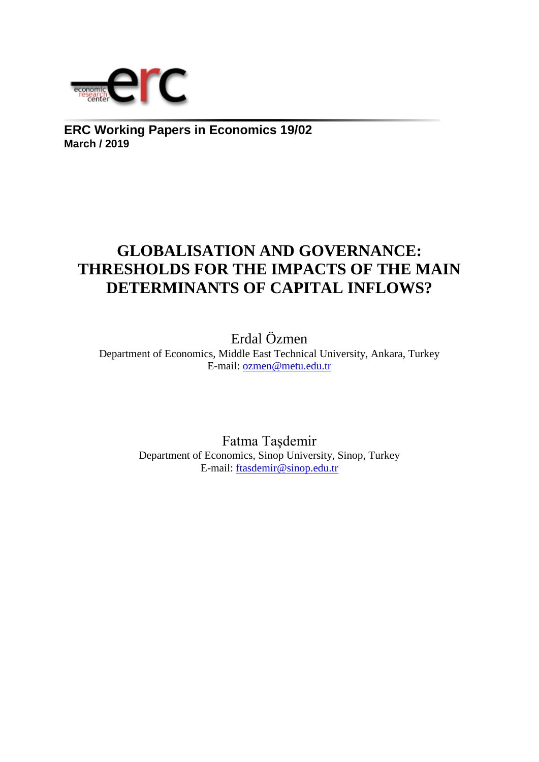

**ERC Working Papers in Economics 19/02 March / 2019**

# **GLOBALISATION AND GOVERNANCE: THRESHOLDS FOR THE IMPACTS OF THE MAIN DETERMINANTS OF CAPITAL INFLOWS?**

Erdal Özmen Department of Economics, Middle East Technical University, Ankara, Turkey E-mail: ozmen@metu.edu.tr

> Fatma Taşdemir Department of Economics, Sinop University, Sinop, Turkey E-mail: ftasdemir@sinop.edu.tr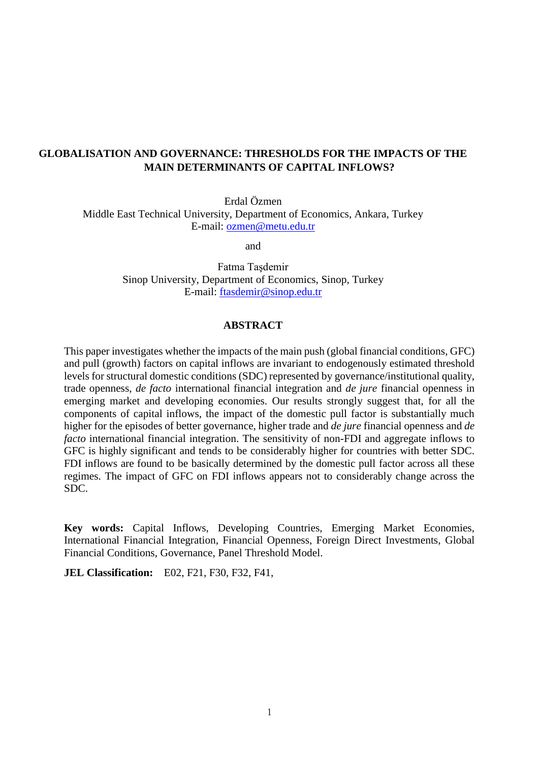# **GLOBALISATION AND GOVERNANCE: THRESHOLDS FOR THE IMPACTS OF THE MAIN DETERMINANTS OF CAPITAL INFLOWS?**

Erdal Özmen Middle East Technical University, Department of Economics, Ankara, Turkey E-mail: [ozmen@metu.edu.tr](mailto:ozmen@metu.edu.tr)

and

Fatma Taşdemir Sinop University, Department of Economics, Sinop, Turkey E-mail: [ftasdemir@sinop.edu.tr](mailto:ftasdemir@sinop.edu.tr)

# **ABSTRACT**

This paper investigates whether the impacts of the main push (global financial conditions, GFC) and pull (growth) factors on capital inflows are invariant to endogenously estimated threshold levels for structural domestic conditions (SDC) represented by governance/institutional quality, trade openness, *de facto* international financial integration and *de jure* financial openness in emerging market and developing economies. Our results strongly suggest that, for all the components of capital inflows, the impact of the domestic pull factor is substantially much higher for the episodes of better governance, higher trade and *de jure* financial openness and *de facto* international financial integration. The sensitivity of non-FDI and aggregate inflows to GFC is highly significant and tends to be considerably higher for countries with better SDC. FDI inflows are found to be basically determined by the domestic pull factor across all these regimes. The impact of GFC on FDI inflows appears not to considerably change across the SDC.

**Key words:** Capital Inflows, Developing Countries, Emerging Market Economies, International Financial Integration, Financial Openness, Foreign Direct Investments, Global Financial Conditions, Governance, Panel Threshold Model.

**JEL Classification:** E02, F21, F30, F32, F41,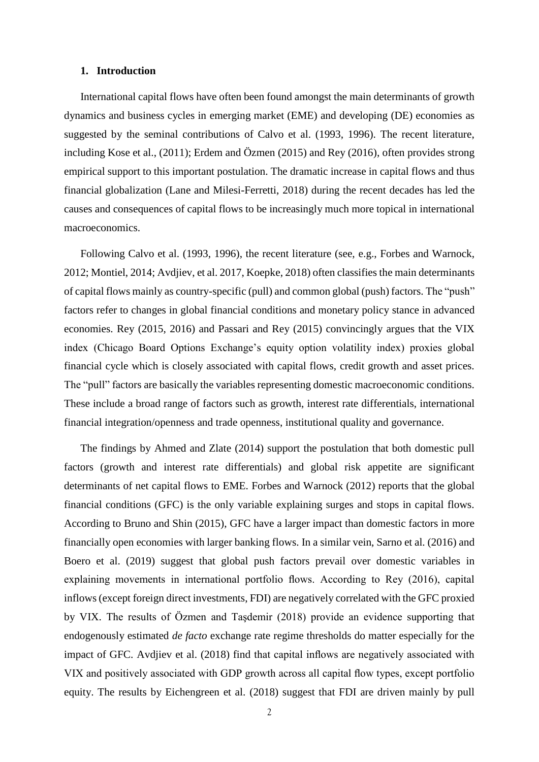# **1. Introduction**

International capital flows have often been found amongst the main determinants of growth dynamics and business cycles in emerging market (EME) and developing (DE) economies as suggested by the seminal contributions of Calvo et al. (1993, 1996). The recent literature, including Kose et al., (2011); Erdem and Özmen (2015) and Rey (2016), often provides strong empirical support to this important postulation. The dramatic increase in capital flows and thus financial globalization (Lane and Milesi-Ferretti, 2018) during the recent decades has led the causes and consequences of capital flows to be increasingly much more topical in international macroeconomics.

Following Calvo et al. (1993, 1996), the recent literature (see, e.g., Forbes and Warnock, 2012; Montiel, 2014; Avdjiev, et al. 2017, Koepke, 2018) often classifies the main determinants of capital flows mainly as country-specific (pull) and common global (push) factors. The "push" factors refer to changes in global financial conditions and monetary policy stance in advanced economies. Rey (2015, 2016) and Passari and Rey (2015) convincingly argues that the VIX index (Chicago Board Options Exchange's equity option volatility index) proxies global financial cycle which is closely associated with capital flows, credit growth and asset prices. The "pull" factors are basically the variables representing domestic macroeconomic conditions. These include a broad range of factors such as growth, interest rate differentials, international financial integration/openness and trade openness, institutional quality and governance.

The findings by Ahmed and Zlate (2014) support the postulation that both domestic pull factors (growth and interest rate differentials) and global risk appetite are significant determinants of net capital flows to EME. Forbes and Warnock (2012) reports that the global financial conditions (GFC) is the only variable explaining surges and stops in capital flows. According to Bruno and Shin (2015), GFC have a larger impact than domestic factors in more financially open economies with larger banking flows. In a similar vein, Sarno et al. (2016) and Boero et al. (2019) suggest that global push factors prevail over domestic variables in explaining movements in international portfolio flows. According to Rey (2016), capital inflows (except foreign direct investments, FDI) are negatively correlated with the GFC proxied by VIX. The results of Özmen and Taşdemir (2018) provide an evidence supporting that endogenously estimated *de facto* exchange rate regime thresholds do matter especially for the impact of GFC. Avdjiev et al. (2018) find that capital inflows are negatively associated with VIX and positively associated with GDP growth across all capital flow types, except portfolio equity. The results by Eichengreen et al. (2018) suggest that FDI are driven mainly by pull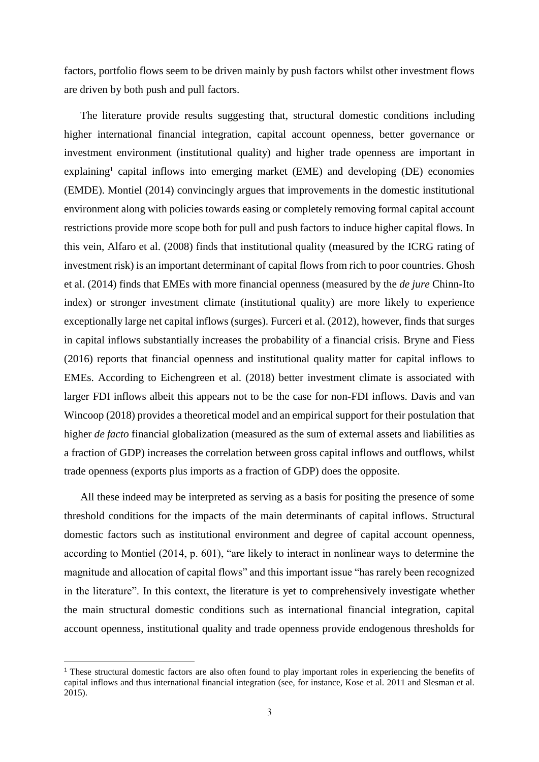factors, portfolio flows seem to be driven mainly by push factors whilst other investment flows are driven by both push and pull factors.

The literature provide results suggesting that, structural domestic conditions including higher international financial integration, capital account openness, better governance or investment environment (institutional quality) and higher trade openness are important in explaining<sup>1</sup> capital inflows into emerging market (EME) and developing (DE) economies (EMDE). Montiel (2014) convincingly argues that improvements in the domestic institutional environment along with policies towards easing or completely removing formal capital account restrictions provide more scope both for pull and push factors to induce higher capital flows. In this vein, Alfaro et al. (2008) finds that institutional quality (measured by the ICRG rating of investment risk) is an important determinant of capital flows from rich to poor countries. Ghosh et al. (2014) finds that EMEs with more financial openness (measured by the *de jure* Chinn-Ito index) or stronger investment climate (institutional quality) are more likely to experience exceptionally large net capital inflows (surges). Furceri et al. (2012), however, finds that surges in capital inflows substantially increases the probability of a financial crisis. Bryne and Fiess (2016) reports that financial openness and institutional quality matter for capital inflows to EMEs. According to Eichengreen et al. (2018) better investment climate is associated with larger FDI inflows albeit this appears not to be the case for non-FDI inflows. Davis and van Wincoop (2018) provides a theoretical model and an empirical support for their postulation that higher *de facto* financial globalization (measured as the sum of external assets and liabilities as a fraction of GDP) increases the correlation between gross capital inflows and outflows, whilst trade openness (exports plus imports as a fraction of GDP) does the opposite.

All these indeed may be interpreted as serving as a basis for positing the presence of some threshold conditions for the impacts of the main determinants of capital inflows. Structural domestic factors such as institutional environment and degree of capital account openness, according to Montiel (2014, p. 601), "are likely to interact in nonlinear ways to determine the magnitude and allocation of capital flows" and this important issue "has rarely been recognized in the literature". In this context, the literature is yet to comprehensively investigate whether the main structural domestic conditions such as international financial integration, capital account openness, institutional quality and trade openness provide endogenous thresholds for

**.** 

<sup>&</sup>lt;sup>1</sup> These structural domestic factors are also often found to play important roles in experiencing the benefits of capital inflows and thus international financial integration (see, for instance, Kose et al. 2011 and Slesman et al. 2015).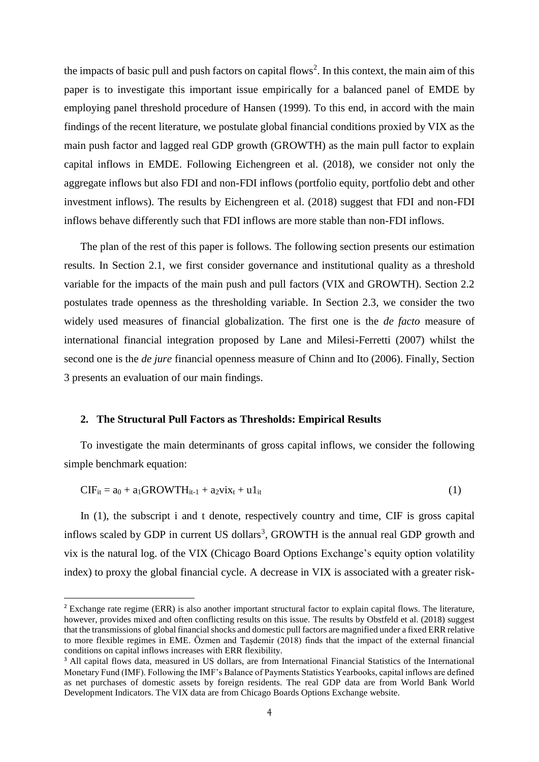the impacts of basic pull and push factors on capital flows<sup>2</sup>. In this context, the main aim of this paper is to investigate this important issue empirically for a balanced panel of EMDE by employing panel threshold procedure of Hansen (1999). To this end, in accord with the main findings of the recent literature, we postulate global financial conditions proxied by VIX as the main push factor and lagged real GDP growth (GROWTH) as the main pull factor to explain capital inflows in EMDE. Following Eichengreen et al. (2018), we consider not only the aggregate inflows but also FDI and non-FDI inflows (portfolio equity, portfolio debt and other investment inflows). The results by Eichengreen et al. (2018) suggest that FDI and non-FDI inflows behave differently such that FDI inflows are more stable than non-FDI inflows.

The plan of the rest of this paper is follows. The following section presents our estimation results. In Section 2.1, we first consider governance and institutional quality as a threshold variable for the impacts of the main push and pull factors (VIX and GROWTH). Section 2.2 postulates trade openness as the thresholding variable. In Section 2.3, we consider the two widely used measures of financial globalization. The first one is the *de facto* measure of international financial integration proposed by Lane and Milesi-Ferretti (2007) whilst the second one is the *de jure* financial openness measure of Chinn and Ito (2006). Finally, Section 3 presents an evaluation of our main findings.

#### **2. The Structural Pull Factors as Thresholds: Empirical Results**

**.** 

To investigate the main determinants of gross capital inflows, we consider the following simple benchmark equation:

$$
CIF_{it} = a_0 + a_1 GROWTH_{it-1} + a_2 vix_t + u1_{it}
$$
\n
$$
(1)
$$

In (1), the subscript i and t denote, respectively country and time, CIF is gross capital inflows scaled by GDP in current US dollars<sup>3</sup>, GROWTH is the annual real GDP growth and vix is the natural log. of the VIX (Chicago Board Options Exchange's equity option volatility index) to proxy the global financial cycle. A decrease in VIX is associated with a greater risk-

<sup>&</sup>lt;sup>2</sup> Exchange rate regime (ERR) is also another important structural factor to explain capital flows. The literature, however, provides mixed and often conflicting results on this issue. The results by Obstfeld et al. (2018) suggest that the transmissions of global financial shocks and domestic pull factors are magnified under a fixed ERR relative to more flexible regimes in EME. Özmen and Taşdemir (2018) finds that the impact of the external financial conditions on capital inflows increases with ERR flexibility.

<sup>&</sup>lt;sup>3</sup> All capital flows data, measured in US dollars, are from International Financial Statistics of the International Monetary Fund (IMF). Following the IMF's Balance of Payments Statistics Yearbooks, capital inflows are defined as net purchases of domestic assets by foreign residents. The real GDP data are from World Bank World Development Indicators. The VIX data are from Chicago Boards Options Exchange website.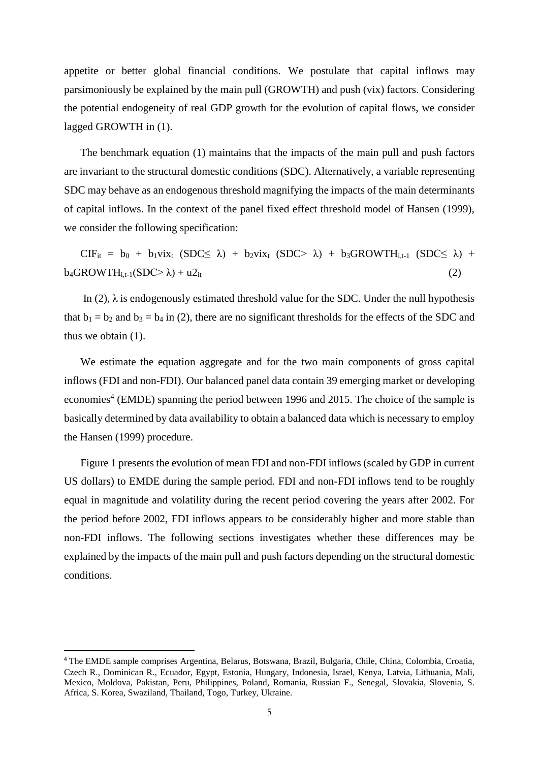appetite or better global financial conditions. We postulate that capital inflows may parsimoniously be explained by the main pull (GROWTH) and push (vix) factors. Considering the potential endogeneity of real GDP growth for the evolution of capital flows, we consider lagged GROWTH in (1).

The benchmark equation (1) maintains that the impacts of the main pull and push factors are invariant to the structural domestic conditions (SDC). Alternatively, a variable representing SDC may behave as an endogenous threshold magnifying the impacts of the main determinants of capital inflows. In the context of the panel fixed effect threshold model of Hansen (1999), we consider the following specification:

 $CIF_{it} = b_0 + b_1VIX_{t} (SDC \le \lambda) + b_2VIX_{t} (SDC \ge \lambda) + b_3GROWTH_{i,t-1} (SDC \le \lambda) + b_4VIX_{t-1} (SDC \le \lambda)$  $b_4$ GROWTH<sub>i,t-1</sub>(SDC> $\lambda$ ) + u2<sub>it</sub> (2)

In (2),  $\lambda$  is endogenously estimated threshold value for the SDC. Under the null hypothesis that  $b_1 = b_2$  and  $b_3 = b_4$  in (2), there are no significant thresholds for the effects of the SDC and thus we obtain (1).

We estimate the equation aggregate and for the two main components of gross capital inflows (FDI and non-FDI). Our balanced panel data contain 39 emerging market or developing economies<sup>4</sup> (EMDE) spanning the period between 1996 and 2015. The choice of the sample is basically determined by data availability to obtain a balanced data which is necessary to employ the Hansen (1999) procedure.

Figure 1 presents the evolution of mean FDI and non-FDI inflows (scaled by GDP in current US dollars) to EMDE during the sample period. FDI and non-FDI inflows tend to be roughly equal in magnitude and volatility during the recent period covering the years after 2002. For the period before 2002, FDI inflows appears to be considerably higher and more stable than non-FDI inflows. The following sections investigates whether these differences may be explained by the impacts of the main pull and push factors depending on the structural domestic conditions.

**.** 

<sup>4</sup> The EMDE sample comprises Argentina, Belarus, Botswana, Brazil, Bulgaria, Chile, China, Colombia, Croatia, Czech R., Dominican R., Ecuador, Egypt, Estonia, Hungary, Indonesia, Israel, Kenya, Latvia, Lithuania, Mali, Mexico, Moldova, Pakistan, Peru, Philippines, Poland, Romania, Russian F., Senegal, Slovakia, Slovenia, S. Africa, S. Korea, Swaziland, Thailand, Togo, Turkey, Ukraine.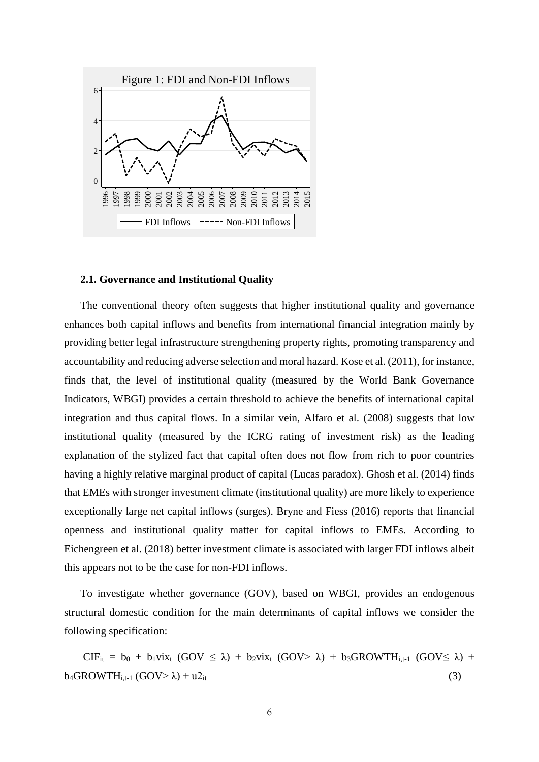

#### **2.1. Governance and Institutional Quality**

The conventional theory often suggests that higher institutional quality and governance enhances both capital inflows and benefits from international financial integration mainly by providing better legal infrastructure strengthening property rights, promoting transparency and accountability and reducing adverse selection and moral hazard. Kose et al. (2011), for instance, finds that, the level of institutional quality (measured by the World Bank Governance Indicators, WBGI) provides a certain threshold to achieve the benefits of international capital integration and thus capital flows. In a similar vein, Alfaro et al. (2008) suggests that low institutional quality (measured by the ICRG rating of investment risk) as the leading explanation of the stylized fact that capital often does not flow from rich to poor countries having a highly relative marginal product of capital (Lucas paradox). Ghosh et al. (2014) finds that EMEs with stronger investment climate (institutional quality) are more likely to experience exceptionally large net capital inflows (surges). Bryne and Fiess (2016) reports that financial openness and institutional quality matter for capital inflows to EMEs. According to Eichengreen et al. (2018) better investment climate is associated with larger FDI inflows albeit this appears not to be the case for non-FDI inflows.

To investigate whether governance (GOV), based on WBGI, provides an endogenous structural domestic condition for the main determinants of capital inflows we consider the following specification:

 $CIF_{it} = b_0 + b_1vix_t (GOV \leq \lambda) + b_2vix_t (GOV > \lambda) + b_3GROWTH_{i,t-1} (GOV \leq \lambda) + b_4vix_t (GOV > \lambda)$  $b_4$ GROWTH<sub>i,t-1</sub> (GOV> $\lambda$ ) + u2<sub>it</sub> (3)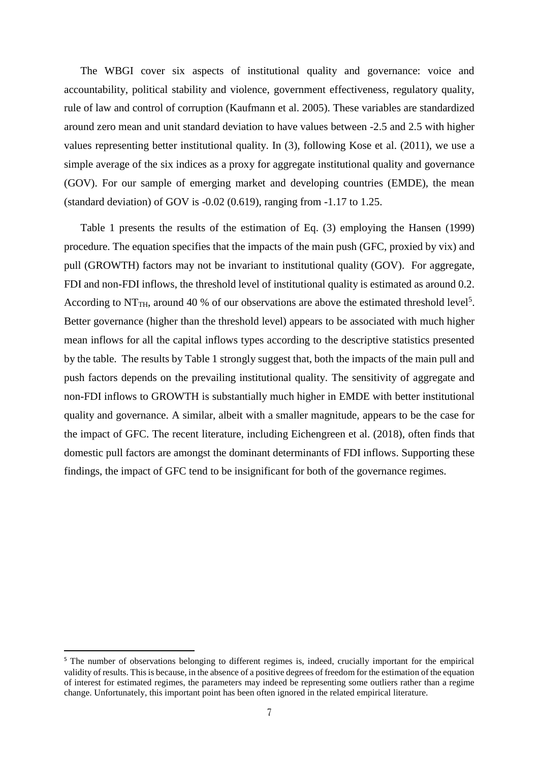The WBGI cover six aspects of institutional quality and governance: voice and accountability, political stability and violence, government effectiveness, regulatory quality, rule of law and control of corruption (Kaufmann et al. 2005). These variables are standardized around zero mean and unit standard deviation to have values between -2.5 and 2.5 with higher values representing better institutional quality. In (3), following Kose et al. (2011), we use a simple average of the six indices as a proxy for aggregate institutional quality and governance (GOV). For our sample of emerging market and developing countries (EMDE), the mean (standard deviation) of GOV is -0.02 (0.619), ranging from -1.17 to 1.25.

Table 1 presents the results of the estimation of Eq. (3) employing the Hansen (1999) procedure. The equation specifies that the impacts of the main push (GFC, proxied by vix) and pull (GROWTH) factors may not be invariant to institutional quality (GOV). For aggregate, FDI and non-FDI inflows, the threshold level of institutional quality is estimated as around 0.2. According to NT<sub>TH</sub>, around 40 % of our observations are above the estimated threshold level<sup>5</sup>. Better governance (higher than the threshold level) appears to be associated with much higher mean inflows for all the capital inflows types according to the descriptive statistics presented by the table. The results by Table 1 strongly suggest that, both the impacts of the main pull and push factors depends on the prevailing institutional quality. The sensitivity of aggregate and non-FDI inflows to GROWTH is substantially much higher in EMDE with better institutional quality and governance. A similar, albeit with a smaller magnitude, appears to be the case for the impact of GFC. The recent literature, including Eichengreen et al. (2018), often finds that domestic pull factors are amongst the dominant determinants of FDI inflows. Supporting these findings, the impact of GFC tend to be insignificant for both of the governance regimes.

**.** 

<sup>&</sup>lt;sup>5</sup> The number of observations belonging to different regimes is, indeed, crucially important for the empirical validity of results. This is because, in the absence of a positive degrees of freedom for the estimation of the equation of interest for estimated regimes, the parameters may indeed be representing some outliers rather than a regime change. Unfortunately, this important point has been often ignored in the related empirical literature.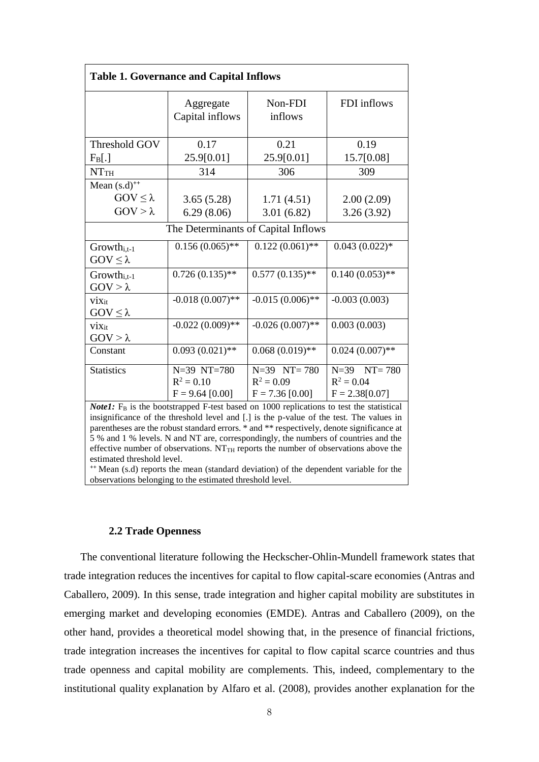| <b>Table 1. Governance and Capital Inflows</b>                                                                                                                                                                                                                                                                                                                                                                                                                                                             |                                                  |                                                      |                                                     |  |  |  |
|------------------------------------------------------------------------------------------------------------------------------------------------------------------------------------------------------------------------------------------------------------------------------------------------------------------------------------------------------------------------------------------------------------------------------------------------------------------------------------------------------------|--------------------------------------------------|------------------------------------------------------|-----------------------------------------------------|--|--|--|
|                                                                                                                                                                                                                                                                                                                                                                                                                                                                                                            | Aggregate<br>Capital inflows                     | Non-FDI<br>inflows                                   | FDI inflows                                         |  |  |  |
| Threshold GOV                                                                                                                                                                                                                                                                                                                                                                                                                                                                                              | 0.17                                             | 0.21                                                 | 0.19                                                |  |  |  |
| $F_B[.]$                                                                                                                                                                                                                                                                                                                                                                                                                                                                                                   | 25.9[0.01]                                       | 25.9[0.01]                                           | 15.7[0.08]                                          |  |  |  |
| NTTH                                                                                                                                                                                                                                                                                                                                                                                                                                                                                                       | 314                                              | 306                                                  | 309                                                 |  |  |  |
| Mean $(s.d)^{++}$                                                                                                                                                                                                                                                                                                                                                                                                                                                                                          |                                                  |                                                      |                                                     |  |  |  |
| $GOV \leq \lambda$                                                                                                                                                                                                                                                                                                                                                                                                                                                                                         | 3.65(5.28)                                       | 1.71(4.51)                                           | 2.00(2.09)                                          |  |  |  |
| $GOV > \lambda$                                                                                                                                                                                                                                                                                                                                                                                                                                                                                            | 6.29(8.06)                                       | 3.01(6.82)                                           | 3.26(3.92)                                          |  |  |  |
| The Determinants of Capital Inflows                                                                                                                                                                                                                                                                                                                                                                                                                                                                        |                                                  |                                                      |                                                     |  |  |  |
| $Growth_{i.t-1}$<br>$GOV \leq \lambda$                                                                                                                                                                                                                                                                                                                                                                                                                                                                     | $0.156(0.065)$ **                                | $0.122(0.061)$ **                                    | $0.043(0.022)*$                                     |  |  |  |
| $Growth_{i,t-1}$<br>$GOV > \lambda$                                                                                                                                                                                                                                                                                                                                                                                                                                                                        | $0.726(0.135)$ **                                | $0.577(0.135)$ **                                    | $0.140(0.053)$ **                                   |  |  |  |
| $V_{1}X_{1}$<br>$GOV \leq \lambda$                                                                                                                                                                                                                                                                                                                                                                                                                                                                         | $-0.018(0.007)$ **                               | $-0.015(0.006)$ **                                   | $-0.003(0.003)$                                     |  |  |  |
| $\dot{\text{V}}\text{1X}_{it}$<br>$GOV > \lambda$                                                                                                                                                                                                                                                                                                                                                                                                                                                          | $-0.022(0.009)$ **                               | $-0.026(0.007)$ **                                   | 0.003(0.003)                                        |  |  |  |
| Constant                                                                                                                                                                                                                                                                                                                                                                                                                                                                                                   | $0.093(0.021)$ **                                | $0.068(0.019)$ **                                    | $0.024(0.007)$ **                                   |  |  |  |
| <b>Statistics</b>                                                                                                                                                                                                                                                                                                                                                                                                                                                                                          | N=39 NT=780<br>$R^2 = 0.10$<br>$F = 9.64$ [0.00] | $N=39$ $NT=780$<br>$R^2 = 0.09$<br>$F = 7.36 [0.00]$ | $N=39$ $NT=780$<br>$R^2 = 0.04$<br>$F = 2.38[0.07]$ |  |  |  |
| <b>Note1:</b> $F_B$ is the bootstrapped F-test based on 1000 replications to test the statistical<br>insignificance of the threshold level and [.] is the p-value of the test. The values in<br>parentheses are the robust standard errors. * and ** respectively, denote significance at<br>5 % and 1 % levels. N and NT are, correspondingly, the numbers of countries and the<br>effective number of observations. $NT_{TH}$ reports the number of observations above the<br>estimated threshold level. |                                                  |                                                      |                                                     |  |  |  |

**++** Mean (s.d) reports the mean (standard deviation) of the dependent variable for the observations belonging to the estimated threshold level.

### **2.2 Trade Openness**

The conventional literature following the Heckscher-Ohlin-Mundell framework states that trade integration reduces the incentives for capital to flow capital-scare economies (Antras and Caballero, 2009). In this sense, trade integration and higher capital mobility are substitutes in emerging market and developing economies (EMDE). Antras and Caballero (2009), on the other hand, provides a theoretical model showing that, in the presence of financial frictions, trade integration increases the incentives for capital to flow capital scarce countries and thus trade openness and capital mobility are complements. This, indeed, complementary to the institutional quality explanation by Alfaro et al. (2008), provides another explanation for the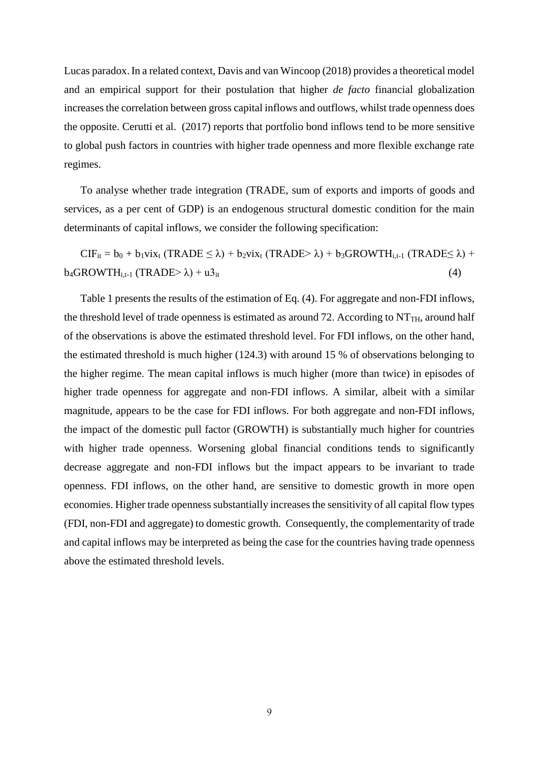Lucas paradox.In a related context, Davis and van Wincoop (2018) provides a theoretical model and an empirical support for their postulation that higher *de facto* financial globalization increases the correlation between gross capital inflows and outflows, whilst trade openness does the opposite. Cerutti et al. (2017) reports that portfolio bond inflows tend to be more sensitive to global push factors in countries with higher trade openness and more flexible exchange rate regimes.

To analyse whether trade integration (TRADE, sum of exports and imports of goods and services, as a per cent of GDP) is an endogenous structural domestic condition for the main determinants of capital inflows, we consider the following specification:

 $CIF_{it} = b_0 + b_1vix_t (TRADE \le \lambda) + b_2vix_t (TRADE > \lambda) + b_3GROWTH_{i,t-1} (TRADE \le \lambda) +$  $b_4$ GROWTH<sub>i,t-1</sub> (TRADE> $\lambda$ ) + u3<sub>it</sub> (4)

Table 1 presents the results of the estimation of Eq. (4). For aggregate and non-FDI inflows, the threshold level of trade openness is estimated as around 72. According to  $NT<sub>TH</sub>$ , around half of the observations is above the estimated threshold level. For FDI inflows, on the other hand, the estimated threshold is much higher (124.3) with around 15 % of observations belonging to the higher regime. The mean capital inflows is much higher (more than twice) in episodes of higher trade openness for aggregate and non-FDI inflows. A similar, albeit with a similar magnitude, appears to be the case for FDI inflows. For both aggregate and non-FDI inflows, the impact of the domestic pull factor (GROWTH) is substantially much higher for countries with higher trade openness. Worsening global financial conditions tends to significantly decrease aggregate and non-FDI inflows but the impact appears to be invariant to trade openness. FDI inflows, on the other hand, are sensitive to domestic growth in more open economies. Higher trade openness substantially increases the sensitivity of all capital flow types (FDI, non-FDI and aggregate) to domestic growth. Consequently, the complementarity of trade and capital inflows may be interpreted as being the case for the countries having trade openness above the estimated threshold levels.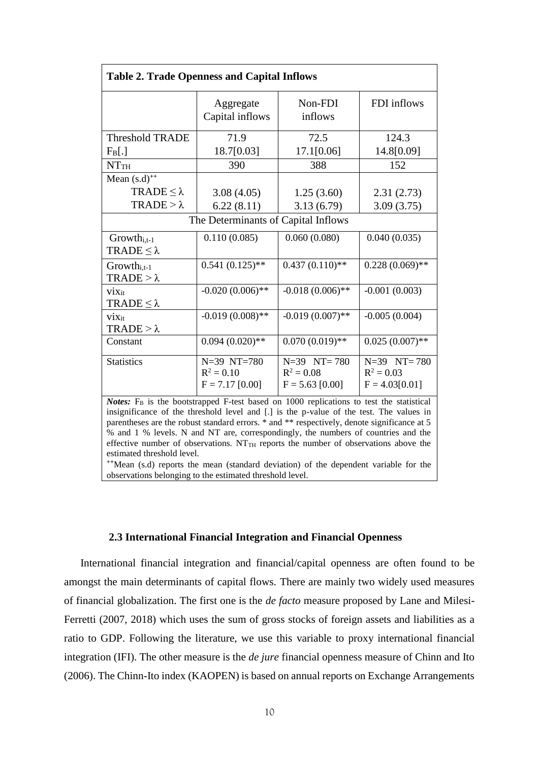| <b>Table 2. Trade Openness and Capital Inflows</b>                                                  |                                                  |                                                      |                                                     |  |  |
|-----------------------------------------------------------------------------------------------------|--------------------------------------------------|------------------------------------------------------|-----------------------------------------------------|--|--|
|                                                                                                     | Aggregate<br>Capital inflows                     | Non-FDI<br>inflows                                   | FDI inflows                                         |  |  |
| <b>Threshold TRADE</b>                                                                              | 71.9                                             | 72.5                                                 | 124.3                                               |  |  |
| $F_B[.]$                                                                                            | 18.7[0.03]                                       | 17.1[0.06]                                           | 14.8[0.09]                                          |  |  |
| NTTH                                                                                                | 390                                              | 388                                                  | 152                                                 |  |  |
| Mean $(s.d)^{++}$                                                                                   |                                                  |                                                      |                                                     |  |  |
| TRADE $\leq \lambda$                                                                                | 3.08(4.05)                                       | 1.25(3.60)                                           | 2.31(2.73)                                          |  |  |
| TRADE $>\lambda$                                                                                    | 6.22(8.11)                                       | 3.13(6.79)                                           | 3.09(3.75)                                          |  |  |
| The Determinants of Capital Inflows                                                                 |                                                  |                                                      |                                                     |  |  |
| $Growth_{i,t-1}$<br>TRADE $\leq \lambda$                                                            | 0.110(0.085)                                     | 0.060(0.080)                                         | 0.040(0.035)                                        |  |  |
| $Growth_{i,t-1}$<br>$TRADE > \lambda$                                                               | $0.541(0.125)$ **                                | $0.437(0.110)**$                                     | $0.228(0.069)$ **                                   |  |  |
| $V1X_{it}$<br>TRADE $\leq \lambda$                                                                  | $-0.020(0.006)$ **                               | $-0.018(0.006)$ **                                   | $-0.001(0.003)$                                     |  |  |
| $V_{1X_{it}}$<br>$TRADE > \lambda$                                                                  | $-0.019(0.008)$ **                               | $-0.019(0.007)$ **                                   | $-0.005(0.004)$                                     |  |  |
| Constant                                                                                            | $0.094(0.020)**$                                 | $0.070(0.019)$ **                                    | $0.025(0.007)$ **                                   |  |  |
| <b>Statistics</b>                                                                                   | N=39 NT=780<br>$R^2 = 0.10$<br>$F = 7.17$ [0.00] | $N=39$ $NT=780$<br>$R^2 = 0.08$<br>$F = 5.63$ [0.00] | $N=39$ $NT=780$<br>$R^2 = 0.03$<br>$F = 4.03[0.01]$ |  |  |
| Notes: F <sub>B</sub> is the bootstrapped F-test based on 1000 replications to test the statistical |                                                  |                                                      |                                                     |  |  |

insignificance of the threshold level and [.] is the p-value of the test. The values in parentheses are the robust standard errors. \* and \*\* respectively, denote significance at 5 % and 1 % levels. N and NT are, correspondingly, the numbers of countries and the effective number of observations.  $NT<sub>TH</sub>$  reports the number of observations above the estimated threshold level.

**++**Mean (s.d) reports the mean (standard deviation) of the dependent variable for the observations belonging to the estimated threshold level.

#### **2.3 International Financial Integration and Financial Openness**

International financial integration and financial/capital openness are often found to be amongst the main determinants of capital flows. There are mainly two widely used measures of financial globalization. The first one is the *de facto* measure proposed by Lane and Milesi-Ferretti (2007, 2018) which uses the sum of gross stocks of foreign assets and liabilities as a ratio to GDP. Following the literature, we use this variable to proxy international financial integration (IFI). The other measure is the *de jure* financial openness measure of Chinn and Ito (2006). The Chinn-Ito index (KAOPEN) is based on annual reports on Exchange Arrangements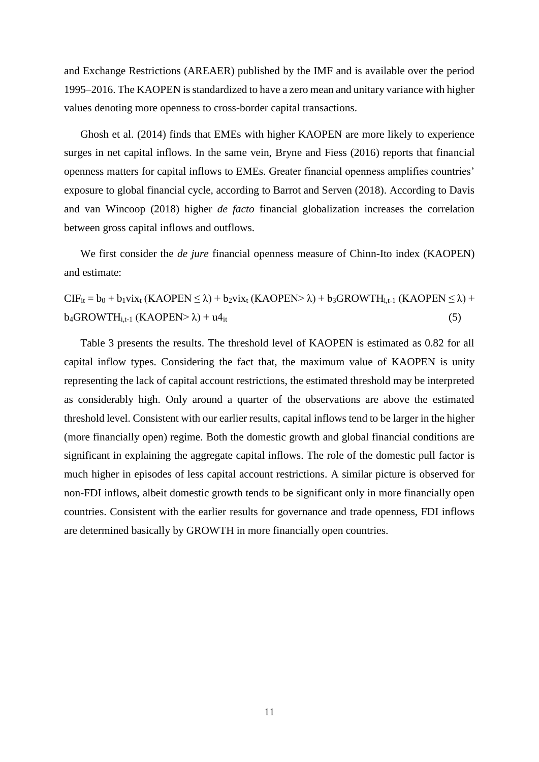and Exchange Restrictions (AREAER) published by the IMF and is available over the period 1995–2016. The KAOPEN is standardized to have a zero mean and unitary variance with higher values denoting more openness to cross-border capital transactions.

Ghosh et al. (2014) finds that EMEs with higher KAOPEN are more likely to experience surges in net capital inflows. In the same vein, Bryne and Fiess (2016) reports that financial openness matters for capital inflows to EMEs. Greater financial openness amplifies countries' exposure to global financial cycle, according to Barrot and Serven (2018). According to Davis and van Wincoop (2018) higher *de facto* financial globalization increases the correlation between gross capital inflows and outflows.

We first consider the *de jure* financial openness measure of Chinn-Ito index (KAOPEN) and estimate:

 $CIF_{it} = b_0 + b_1vix_t (KAOPEN \leq \lambda) + b_2vix_t (KAOPEN > \lambda) + b_3GROWTH_{i,t-1} (KAOPEN \leq \lambda) +$  $b_4$ GROWTH<sub>i,t-1</sub> (KAOPEN>  $\lambda$ ) + u4<sub>it</sub> (5)

Table 3 presents the results. The threshold level of KAOPEN is estimated as 0.82 for all capital inflow types. Considering the fact that, the maximum value of KAOPEN is unity representing the lack of capital account restrictions, the estimated threshold may be interpreted as considerably high. Only around a quarter of the observations are above the estimated threshold level. Consistent with our earlier results, capital inflows tend to be larger in the higher (more financially open) regime. Both the domestic growth and global financial conditions are significant in explaining the aggregate capital inflows. The role of the domestic pull factor is much higher in episodes of less capital account restrictions. A similar picture is observed for non-FDI inflows, albeit domestic growth tends to be significant only in more financially open countries. Consistent with the earlier results for governance and trade openness, FDI inflows are determined basically by GROWTH in more financially open countries.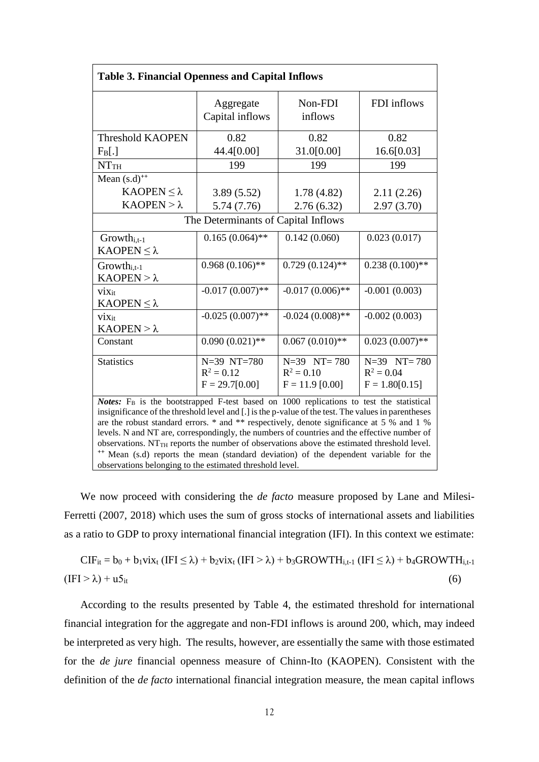| <b>Table 3. Financial Openness and Capital Inflows</b>                                                                                                                                                                                                                                                                                                                                                                                                                                                                                                                                                                                                                         |                                                 |                                                      |                                                     |  |  |
|--------------------------------------------------------------------------------------------------------------------------------------------------------------------------------------------------------------------------------------------------------------------------------------------------------------------------------------------------------------------------------------------------------------------------------------------------------------------------------------------------------------------------------------------------------------------------------------------------------------------------------------------------------------------------------|-------------------------------------------------|------------------------------------------------------|-----------------------------------------------------|--|--|
|                                                                                                                                                                                                                                                                                                                                                                                                                                                                                                                                                                                                                                                                                | Aggregate<br>Capital inflows                    | Non-FDI<br>inflows                                   | FDI inflows                                         |  |  |
| <b>Threshold KAOPEN</b>                                                                                                                                                                                                                                                                                                                                                                                                                                                                                                                                                                                                                                                        | 0.82                                            | 0.82                                                 | 0.82                                                |  |  |
| $F_B[.]$                                                                                                                                                                                                                                                                                                                                                                                                                                                                                                                                                                                                                                                                       | 44.4[0.00]                                      | 31.0[0.00]                                           | 16.6[0.03]                                          |  |  |
| NTTH                                                                                                                                                                                                                                                                                                                                                                                                                                                                                                                                                                                                                                                                           | 199                                             | 199                                                  | 199                                                 |  |  |
| Mean $(s.d)^{++}$                                                                                                                                                                                                                                                                                                                                                                                                                                                                                                                                                                                                                                                              |                                                 |                                                      |                                                     |  |  |
| KAOPEN $\leq$ λ                                                                                                                                                                                                                                                                                                                                                                                                                                                                                                                                                                                                                                                                | 3.89(5.52)                                      | 1.78(4.82)                                           | 2.11(2.26)                                          |  |  |
| $KAOPEN > \lambda$                                                                                                                                                                                                                                                                                                                                                                                                                                                                                                                                                                                                                                                             | 5.74 (7.76)                                     | 2.76(6.32)                                           | 2.97(3.70)                                          |  |  |
| The Determinants of Capital Inflows                                                                                                                                                                                                                                                                                                                                                                                                                                                                                                                                                                                                                                            |                                                 |                                                      |                                                     |  |  |
| Growth <sub>i,t-1</sub><br>KAOPEN $\leq$ λ                                                                                                                                                                                                                                                                                                                                                                                                                                                                                                                                                                                                                                     | $0.165(0.064)$ **                               | 0.142(0.060)                                         | 0.023(0.017)                                        |  |  |
| $Growth_{i.t-1}$<br>$KAOPEN > \lambda$                                                                                                                                                                                                                                                                                                                                                                                                                                                                                                                                                                                                                                         | $0.968(0.106)$ **                               | $0.729(0.124)$ **                                    | $0.238(0.100)$ **                                   |  |  |
| $V_{iXit}$<br>KAOPEN $\leq$ λ                                                                                                                                                                                                                                                                                                                                                                                                                                                                                                                                                                                                                                                  | $-0.017(0.007)$ **                              | $-0.017(0.006)$ **                                   | $-0.001(0.003)$                                     |  |  |
| vixit<br>$KAOPEN > \lambda$                                                                                                                                                                                                                                                                                                                                                                                                                                                                                                                                                                                                                                                    | $-0.025(0.007)$ **                              | $-0.024(0.008)$ **                                   | $-0.002(0.003)$                                     |  |  |
| Constant                                                                                                                                                                                                                                                                                                                                                                                                                                                                                                                                                                                                                                                                       | $0.090(0.021)$ **                               | $0.067(0.010)$ **                                    | $0.023(0.007)$ **                                   |  |  |
| <b>Statistics</b>                                                                                                                                                                                                                                                                                                                                                                                                                                                                                                                                                                                                                                                              | N=39 NT=780<br>$R^2 = 0.12$<br>$F = 29.7[0.00]$ | $N=39$ $NT=780$<br>$R^2 = 0.10$<br>$F = 11.9$ [0.00] | $N=39$ $NT=780$<br>$R^2 = 0.04$<br>$F = 1.80[0.15]$ |  |  |
| <b>Notes:</b> $F_B$ is the bootstrapped F-test based on 1000 replications to test the statistical<br>insignificance of the threshold level and [.] is the p-value of the test. The values in parentheses<br>are the robust standard errors. * and ** respectively, denote significance at 5 % and 1 %<br>levels. N and NT are, correspondingly, the numbers of countries and the effective number of<br>observations. NT <sub>TH</sub> reports the number of observations above the estimated threshold level.<br><sup>++</sup> Mean (s.d) reports the mean (standard deviation) of the dependent variable for the<br>observations belonging to the estimated threshold level. |                                                 |                                                      |                                                     |  |  |

We now proceed with considering the *de facto* measure proposed by Lane and Milesi-Ferretti (2007, 2018) which uses the sum of gross stocks of international assets and liabilities as a ratio to GDP to proxy international financial integration (IFI). In this context we estimate:

 $CIF_{it} = b_0 + b_1vix_t (IFI \leq \lambda) + b_2vix_t (IFI > \lambda) + b_3GROWTH_{i,t-1} (IFI \leq \lambda) + b_4GROWTH_{i,t-1}$  $(\text{IFI} > \lambda) + \mathbf{u} \mathbf{5}_{it}$  (6)

According to the results presented by Table 4, the estimated threshold for international financial integration for the aggregate and non-FDI inflows is around 200, which, may indeed be interpreted as very high. The results, however, are essentially the same with those estimated for the *de jure* financial openness measure of Chinn-Ito (KAOPEN). Consistent with the definition of the *de facto* international financial integration measure, the mean capital inflows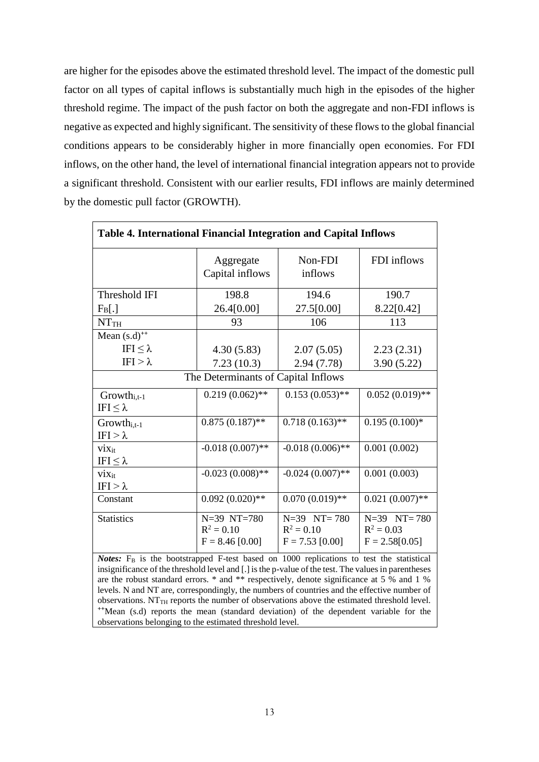are higher for the episodes above the estimated threshold level. The impact of the domestic pull factor on all types of capital inflows is substantially much high in the episodes of the higher threshold regime. The impact of the push factor on both the aggregate and non-FDI inflows is negative as expected and highly significant. The sensitivity of these flows to the global financial conditions appears to be considerably higher in more financially open economies. For FDI inflows, on the other hand, the level of international financial integration appears not to provide a significant threshold. Consistent with our earlier results, FDI inflows are mainly determined by the domestic pull factor (GROWTH).

| Table 4. International Financial Integration and Capital Inflows                                                                                                                                                                                                                                                              |                              |                    |                   |  |  |
|-------------------------------------------------------------------------------------------------------------------------------------------------------------------------------------------------------------------------------------------------------------------------------------------------------------------------------|------------------------------|--------------------|-------------------|--|--|
|                                                                                                                                                                                                                                                                                                                               | Aggregate<br>Capital inflows | Non-FDI<br>inflows | FDI inflows       |  |  |
| Threshold IFI                                                                                                                                                                                                                                                                                                                 | 198.8                        | 194.6              | 190.7             |  |  |
| $F_B[.]$                                                                                                                                                                                                                                                                                                                      | 26.4[0.00]                   | 27.5[0.00]         | 8.22[0.42]        |  |  |
| NTTH                                                                                                                                                                                                                                                                                                                          | 93                           | 106                | 113               |  |  |
| Mean $(s.d)^{++}$                                                                                                                                                                                                                                                                                                             |                              |                    |                   |  |  |
| IFI $\leq$ λ                                                                                                                                                                                                                                                                                                                  | 4.30(5.83)                   | 2.07(5.05)         | 2.23(2.31)        |  |  |
| IFI $>\lambda$                                                                                                                                                                                                                                                                                                                | 7.23(10.3)                   | 2.94(7.78)         | 3.90(5.22)        |  |  |
| The Determinants of Capital Inflows                                                                                                                                                                                                                                                                                           |                              |                    |                   |  |  |
| $Growth_{i,t-1}$<br>IFI $\leq$ λ                                                                                                                                                                                                                                                                                              | $0.219(0.062)$ **            | $0.153(0.053)$ **  | $0.052(0.019)$ ** |  |  |
| $Growth_{i,t-1}$<br>$IFI > \lambda$                                                                                                                                                                                                                                                                                           | $0.875(0.187)$ **            | $0.718(0.163)$ **  | $0.195(0.100)*$   |  |  |
| V <sub>ixit</sub><br>IFI $\leq$ λ                                                                                                                                                                                                                                                                                             | $-0.018(0.007)$ **           | $-0.018(0.006)$ ** | 0.001(0.002)      |  |  |
| $v_{\rm 1Xit}$<br>IFI $>\lambda$                                                                                                                                                                                                                                                                                              | $-0.023(0.008)$ **           | $-0.024(0.007)$ ** | 0.001(0.003)      |  |  |
| Constant                                                                                                                                                                                                                                                                                                                      | $0.092(0.020)**$             | $0.070(0.019)$ **  | $0.021(0.007)$ ** |  |  |
| <b>Statistics</b>                                                                                                                                                                                                                                                                                                             | N=39 NT=780                  | $N=39$ $NT=780$    | $N=39$ $NT=780$   |  |  |
|                                                                                                                                                                                                                                                                                                                               | $R^2 = 0.10$                 | $R^2 = 0.10$       | $R^2 = 0.03$      |  |  |
|                                                                                                                                                                                                                                                                                                                               | $F = 8.46 [0.00]$            | $F = 7.53$ [0.00]  | $F = 2.58[0.05]$  |  |  |
| Notes: F <sub>B</sub> is the bootstrapped F-test based on 1000 replications to test the statistical<br>insignificance of the threshold level and [.] is the p-value of the test. The values in parentheses<br>and the state of the state of the state of the state of the state of the state of the state of the state of the |                              |                    |                   |  |  |

are the robust standard errors. \* and \*\* respectively, denote significance at 5 % and 1 % levels. N and NT are, correspondingly, the numbers of countries and the effective number of observations.  $NT_{TH}$  reports the number of observations above the estimated threshold level. **++**Mean (s.d) reports the mean (standard deviation) of the dependent variable for the observations belonging to the estimated threshold level.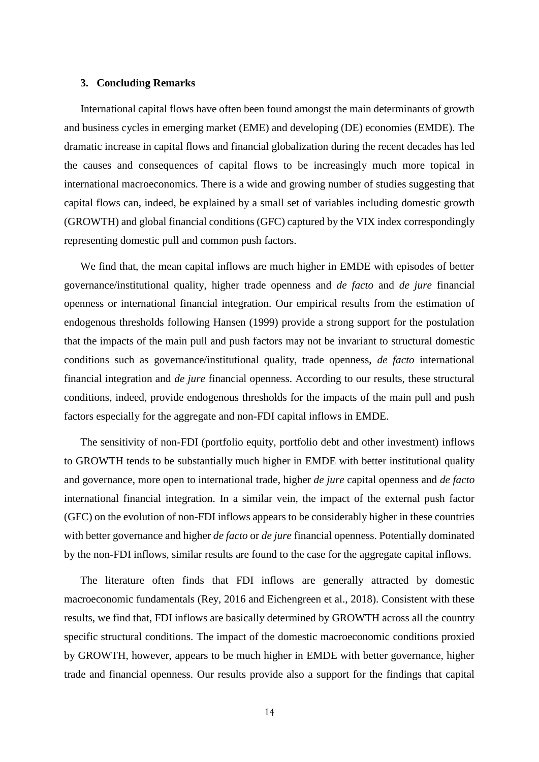# **3. Concluding Remarks**

International capital flows have often been found amongst the main determinants of growth and business cycles in emerging market (EME) and developing (DE) economies (EMDE). The dramatic increase in capital flows and financial globalization during the recent decades has led the causes and consequences of capital flows to be increasingly much more topical in international macroeconomics. There is a wide and growing number of studies suggesting that capital flows can, indeed, be explained by a small set of variables including domestic growth (GROWTH) and global financial conditions (GFC) captured by the VIX index correspondingly representing domestic pull and common push factors.

We find that, the mean capital inflows are much higher in EMDE with episodes of better governance/institutional quality, higher trade openness and *de facto* and *de jure* financial openness or international financial integration. Our empirical results from the estimation of endogenous thresholds following Hansen (1999) provide a strong support for the postulation that the impacts of the main pull and push factors may not be invariant to structural domestic conditions such as governance/institutional quality, trade openness, *de facto* international financial integration and *de jure* financial openness. According to our results, these structural conditions, indeed, provide endogenous thresholds for the impacts of the main pull and push factors especially for the aggregate and non-FDI capital inflows in EMDE.

The sensitivity of non-FDI (portfolio equity, portfolio debt and other investment) inflows to GROWTH tends to be substantially much higher in EMDE with better institutional quality and governance, more open to international trade, higher *de jure* capital openness and *de facto* international financial integration. In a similar vein, the impact of the external push factor (GFC) on the evolution of non-FDI inflows appears to be considerably higher in these countries with better governance and higher *de facto* or *de jure* financial openness. Potentially dominated by the non-FDI inflows, similar results are found to the case for the aggregate capital inflows.

The literature often finds that FDI inflows are generally attracted by domestic macroeconomic fundamentals (Rey, 2016 and Eichengreen et al., 2018). Consistent with these results, we find that, FDI inflows are basically determined by GROWTH across all the country specific structural conditions. The impact of the domestic macroeconomic conditions proxied by GROWTH, however, appears to be much higher in EMDE with better governance, higher trade and financial openness. Our results provide also a support for the findings that capital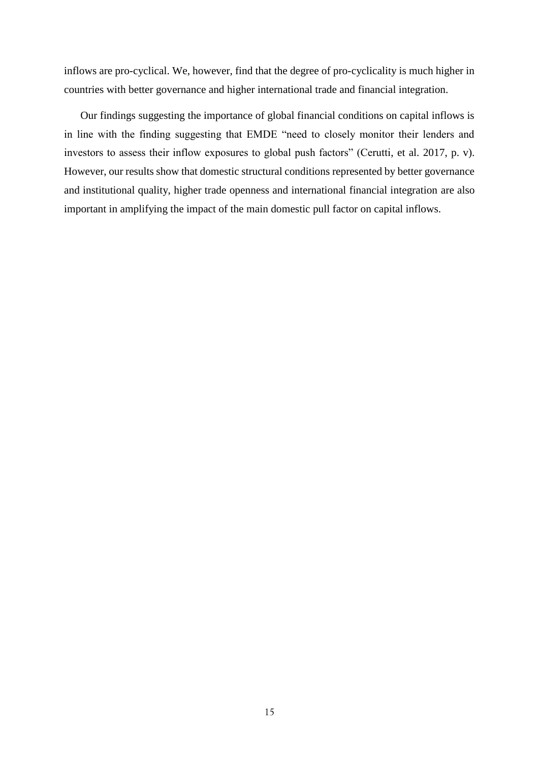inflows are pro-cyclical. We, however, find that the degree of pro-cyclicality is much higher in countries with better governance and higher international trade and financial integration.

Our findings suggesting the importance of global financial conditions on capital inflows is in line with the finding suggesting that EMDE "need to closely monitor their lenders and investors to assess their inflow exposures to global push factors" (Cerutti, et al. 2017, p. v). However, our results show that domestic structural conditions represented by better governance and institutional quality, higher trade openness and international financial integration are also important in amplifying the impact of the main domestic pull factor on capital inflows.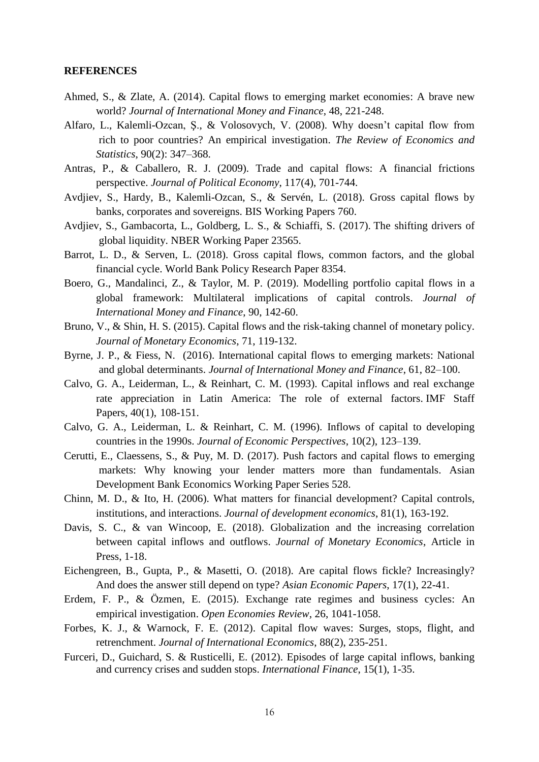# **REFERENCES**

- Ahmed, S., & Zlate, A. (2014). Capital flows to emerging market economies: A brave new world? *Journal of International Money and Finance*, 48, 221-248.
- Alfaro, L., Kalemli-Ozcan, Ş., & Volosovych, V. (2008). Why doesn't capital flow from rich to poor countries? An empirical investigation. *The Review of Economics and Statistics*, 90(2): 347–368.
- Antras, P., & Caballero, R. J. (2009). Trade and capital flows: A financial frictions perspective. *Journal of Political Economy*, 117(4), 701-744.
- Avdjiev, S., Hardy, B., Kalemli-Ozcan, S., & Servén, L. (2018). Gross capital flows by banks, corporates and sovereigns. BIS Working Papers 760.
- Avdjiev, S., Gambacorta, L., Goldberg, L. S., & Schiaffi, S. (2017). The shifting drivers of global liquidity. NBER Working Paper 23565.
- Barrot, L. D., & Serven, L. (2018). Gross capital flows, common factors, and the global financial cycle. World Bank Policy Research Paper 8354.
- Boero, G., Mandalinci, Z., & Taylor, M. P. (2019). Modelling portfolio capital flows in a global framework: Multilateral implications of capital controls. *Journal of International Money and Finance*, 90, 142-60.
- Bruno, V., & Shin, H. S. (2015). Capital flows and the risk-taking channel of monetary policy. *Journal of Monetary Economics*, 71, 119-132.
- Byrne, J. P., & Fiess, N. (2016). International capital flows to emerging markets: National and global determinants. *Journal of International Money and Finance*, 61, 82–100.
- Calvo, G. A., Leiderman, L., & Reinhart, C. M. (1993). Capital inflows and real exchange rate appreciation in Latin America: The role of external factors. IMF Staff Papers, 40(1), 108-151.
- Calvo, G. A., Leiderman, L. & Reinhart, C. M. (1996). Inflows of capital to developing countries in the 1990s. *Journal of Economic Perspectives*, 10(2), 123–139.
- Cerutti, E., Claessens, S., & Puy, M. D. (2017). Push factors and capital flows to emerging markets: Why knowing your lender matters more than fundamentals. Asian Development Bank Economics Working Paper Series 528.
- Chinn, M. D., & Ito, H. (2006). What matters for financial development? Capital controls, institutions, and interactions. *Journal of development economics*, 81(1), 163-192.
- Davis, S. C., & van Wincoop, E. (2018). Globalization and the increasing correlation between capital inflows and outflows. *Journal of Monetary Economics*, Article in Press, 1-18.
- Eichengreen, B., Gupta, P., & Masetti, O. (2018). Are capital flows fickle? Increasingly? And does the answer still depend on type? *Asian Economic Papers*, 17(1), 22-41.
- Erdem, F. P., & Özmen, E. (2015). Exchange rate regimes and business cycles: An empirical investigation. *Open Economies Review*, 26, 1041-1058.
- Forbes, K. J., & Warnock, F. E. (2012). Capital flow waves: Surges, stops, flight, and retrenchment. *Journal of International Economics*, 88(2), 235-251.
- Furceri, D., Guichard, S. & Rusticelli, E. (2012). Episodes of large capital inflows, banking and currency crises and sudden stops. *International Finance*, 15(1), 1-35.